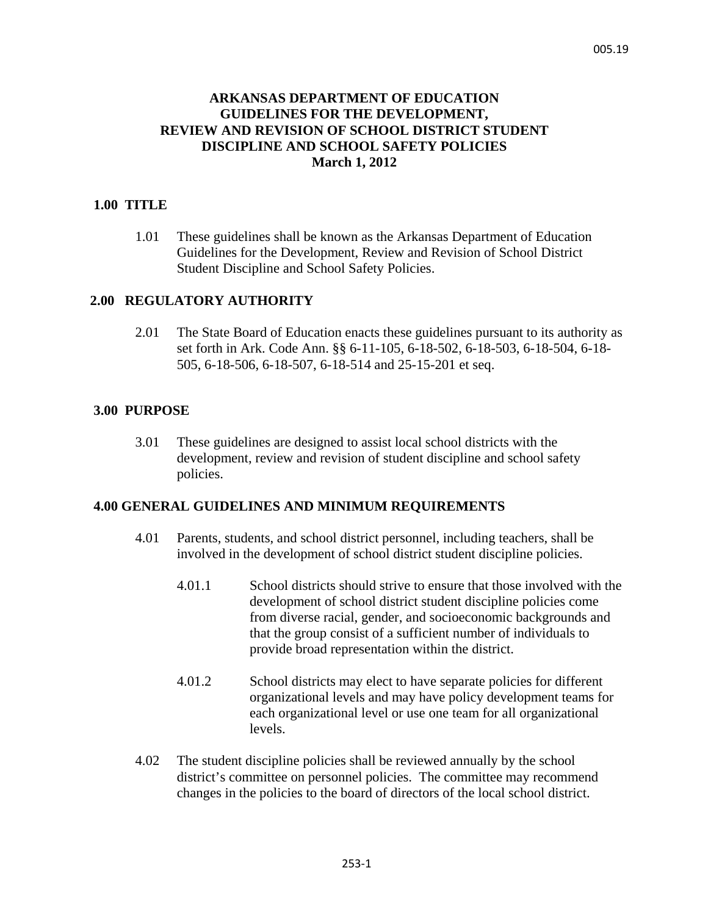# **ARKANSAS DEPARTMENT OF EDUCATION GUIDELINES FOR THE DEVELOPMENT, REVIEW AND REVISION OF SCHOOL DISTRICT STUDENT DISCIPLINE AND SCHOOL SAFETY POLICIES March 1, 2012**

#### **1.00 TITLE**

1.01 These guidelines shall be known as the Arkansas Department of Education Guidelines for the Development, Review and Revision of School District Student Discipline and School Safety Policies.

### **2.00 REGULATORY AUTHORITY**

2.01 The State Board of Education enacts these guidelines pursuant to its authority as set forth in Ark. Code Ann. §§ 6-11-105, 6-18-502, 6-18-503, 6-18-504, 6-18- 505, 6-18-506, 6-18-507, 6-18-514 and 25-15-201 et seq.

### **3.00 PURPOSE**

3.01 These guidelines are designed to assist local school districts with the development, review and revision of student discipline and school safety policies.

### **4.00 GENERAL GUIDELINES AND MINIMUM REQUIREMENTS**

- 4.01 Parents, students, and school district personnel, including teachers, shall be involved in the development of school district student discipline policies.
	- 4.01.1 School districts should strive to ensure that those involved with the development of school district student discipline policies come from diverse racial, gender, and socioeconomic backgrounds and that the group consist of a sufficient number of individuals to provide broad representation within the district.
	- 4.01.2 School districts may elect to have separate policies for different organizational levels and may have policy development teams for each organizational level or use one team for all organizational levels.
- 4.02 The student discipline policies shall be reviewed annually by the school district's committee on personnel policies. The committee may recommend changes in the policies to the board of directors of the local school district.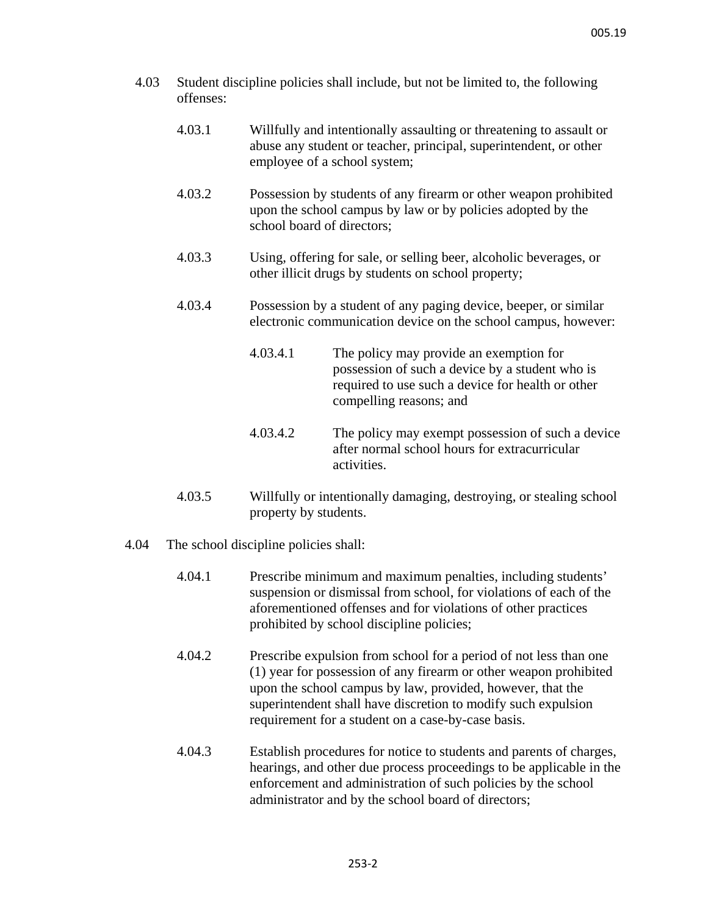- 4.03 Student discipline policies shall include, but not be limited to, the following offenses:
	- 4.03.1 Willfully and intentionally assaulting or threatening to assault or abuse any student or teacher, principal, superintendent, or other employee of a school system;
	- 4.03.2 Possession by students of any firearm or other weapon prohibited upon the school campus by law or by policies adopted by the school board of directors;
	- 4.03.3 Using, offering for sale, or selling beer, alcoholic beverages, or other illicit drugs by students on school property;
	- 4.03.4 Possession by a student of any paging device, beeper, or similar electronic communication device on the school campus, however:
		- 4.03.4.1 The policy may provide an exemption for possession of such a device by a student who is required to use such a device for health or other compelling reasons; and
		- 4.03.4.2 The policy may exempt possession of such a device after normal school hours for extracurricular activities.
	- 4.03.5 Willfully or intentionally damaging, destroying, or stealing school property by students.
- 4.04 The school discipline policies shall:
	- 4.04.1 Prescribe minimum and maximum penalties, including students' suspension or dismissal from school, for violations of each of the aforementioned offenses and for violations of other practices prohibited by school discipline policies;
	- 4.04.2 Prescribe expulsion from school for a period of not less than one (1) year for possession of any firearm or other weapon prohibited upon the school campus by law, provided, however, that the superintendent shall have discretion to modify such expulsion requirement for a student on a case-by-case basis.
	- 4.04.3 Establish procedures for notice to students and parents of charges, hearings, and other due process proceedings to be applicable in the enforcement and administration of such policies by the school administrator and by the school board of directors;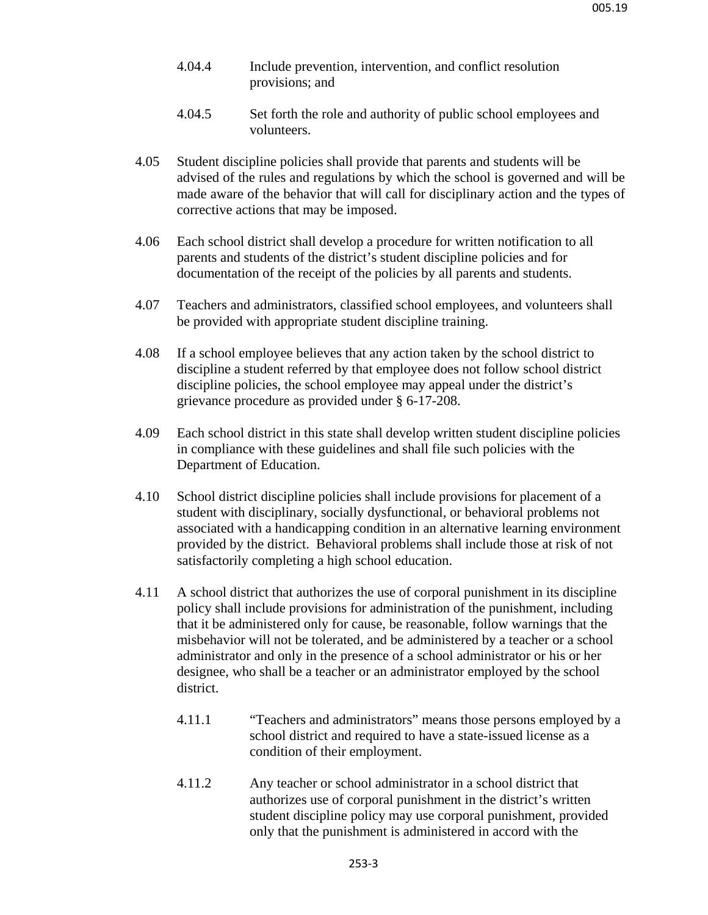- 4.04.4 Include prevention, intervention, and conflict resolution provisions; and
- 4.04.5 Set forth the role and authority of public school employees and volunteers.
- 4.05 Student discipline policies shall provide that parents and students will be advised of the rules and regulations by which the school is governed and will be made aware of the behavior that will call for disciplinary action and the types of corrective actions that may be imposed.
- 4.06 Each school district shall develop a procedure for written notification to all parents and students of the district's student discipline policies and for documentation of the receipt of the policies by all parents and students.
- 4.07 Teachers and administrators, classified school employees, and volunteers shall be provided with appropriate student discipline training.
- 4.08 If a school employee believes that any action taken by the school district to discipline a student referred by that employee does not follow school district discipline policies, the school employee may appeal under the district's grievance procedure as provided under § 6-17-208.
- 4.09 Each school district in this state shall develop written student discipline policies in compliance with these guidelines and shall file such policies with the Department of Education.
- 4.10 School district discipline policies shall include provisions for placement of a student with disciplinary, socially dysfunctional, or behavioral problems not associated with a handicapping condition in an alternative learning environment provided by the district. Behavioral problems shall include those at risk of not satisfactorily completing a high school education.
- 4.11 A school district that authorizes the use of corporal punishment in its discipline policy shall include provisions for administration of the punishment, including that it be administered only for cause, be reasonable, follow warnings that the misbehavior will not be tolerated, and be administered by a teacher or a school administrator and only in the presence of a school administrator or his or her designee, who shall be a teacher or an administrator employed by the school district.
	- 4.11.1 "Teachers and administrators" means those persons employed by a school district and required to have a state-issued license as a condition of their employment.
	- 4.11.2 Any teacher or school administrator in a school district that authorizes use of corporal punishment in the district's written student discipline policy may use corporal punishment, provided only that the punishment is administered in accord with the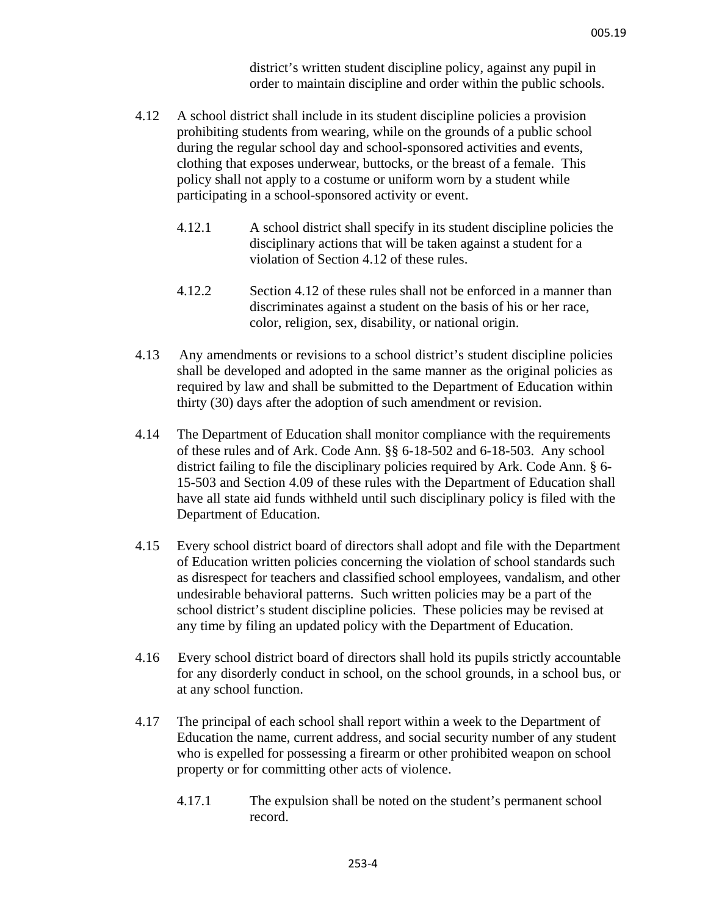district's written student discipline policy, against any pupil in order to maintain discipline and order within the public schools.

- 4.12 A school district shall include in its student discipline policies a provision prohibiting students from wearing, while on the grounds of a public school during the regular school day and school-sponsored activities and events, clothing that exposes underwear, buttocks, or the breast of a female. This policy shall not apply to a costume or uniform worn by a student while participating in a school-sponsored activity or event.
	- 4.12.1 A school district shall specify in its student discipline policies the disciplinary actions that will be taken against a student for a violation of Section 4.12 of these rules.
	- 4.12.2 Section 4.12 of these rules shall not be enforced in a manner than discriminates against a student on the basis of his or her race, color, religion, sex, disability, or national origin.
- 4.13 Any amendments or revisions to a school district's student discipline policies shall be developed and adopted in the same manner as the original policies as required by law and shall be submitted to the Department of Education within thirty (30) days after the adoption of such amendment or revision.
- 4.14 The Department of Education shall monitor compliance with the requirements of these rules and of Ark. Code Ann. §§ 6-18-502 and 6-18-503. Any school district failing to file the disciplinary policies required by Ark. Code Ann. § 6- 15-503 and Section 4.09 of these rules with the Department of Education shall have all state aid funds withheld until such disciplinary policy is filed with the Department of Education.
- 4.15 Every school district board of directors shall adopt and file with the Department of Education written policies concerning the violation of school standards such as disrespect for teachers and classified school employees, vandalism, and other undesirable behavioral patterns. Such written policies may be a part of the school district's student discipline policies. These policies may be revised at any time by filing an updated policy with the Department of Education.
- 4.16 Every school district board of directors shall hold its pupils strictly accountable for any disorderly conduct in school, on the school grounds, in a school bus, or at any school function.
- 4.17 The principal of each school shall report within a week to the Department of Education the name, current address, and social security number of any student who is expelled for possessing a firearm or other prohibited weapon on school property or for committing other acts of violence.
	- 4.17.1 The expulsion shall be noted on the student's permanent school record.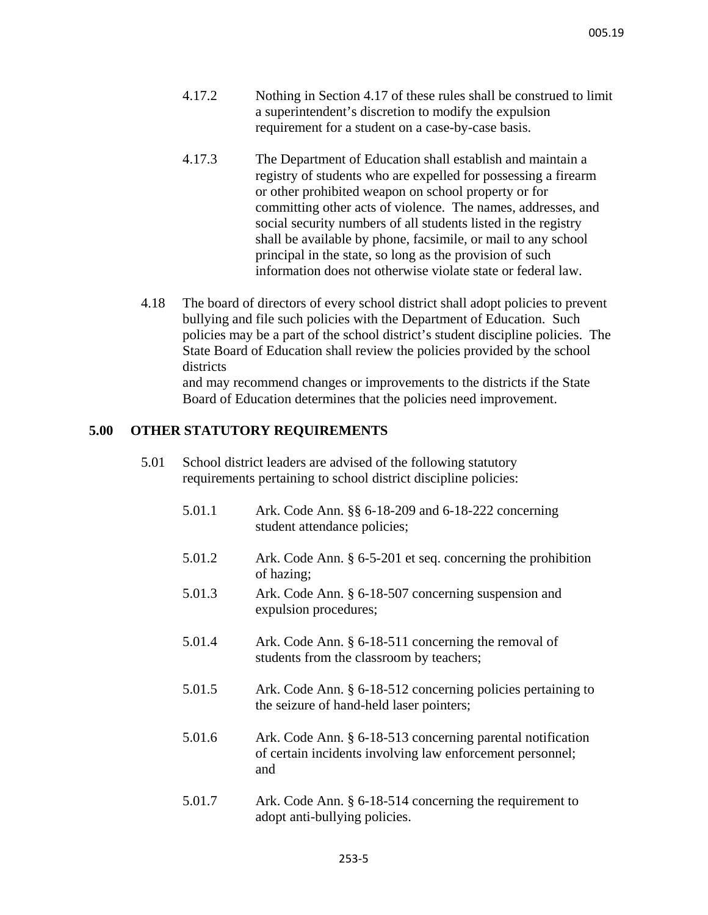- 4.17.2 Nothing in Section 4.17 of these rules shall be construed to limit a superintendent's discretion to modify the expulsion requirement for a student on a case-by-case basis.
- 4.17.3 The Department of Education shall establish and maintain a registry of students who are expelled for possessing a firearm or other prohibited weapon on school property or for committing other acts of violence. The names, addresses, and social security numbers of all students listed in the registry shall be available by phone, facsimile, or mail to any school principal in the state, so long as the provision of such information does not otherwise violate state or federal law.
- 4.18 The board of directors of every school district shall adopt policies to prevent bullying and file such policies with the Department of Education. Such policies may be a part of the school district's student discipline policies. The State Board of Education shall review the policies provided by the school districts and may recommend changes or improvements to the districts if the State

Board of Education determines that the policies need improvement.

# **5.00 OTHER STATUTORY REQUIREMENTS**

- 5.01 School district leaders are advised of the following statutory requirements pertaining to school district discipline policies:
	- 5.01.1 Ark. Code Ann. §§ 6-18-209 and 6-18-222 concerning student attendance policies;
	- 5.01.2 Ark. Code Ann. § 6-5-201 et seq. concerning the prohibition of hazing;
	- 5.01.3 Ark. Code Ann. § 6-18-507 concerning suspension and expulsion procedures;
	- 5.01.4 Ark. Code Ann. § 6-18-511 concerning the removal of students from the classroom by teachers;
	- 5.01.5 Ark. Code Ann. § 6-18-512 concerning policies pertaining to the seizure of hand-held laser pointers;
	- 5.01.6 Ark. Code Ann. § 6-18-513 concerning parental notification of certain incidents involving law enforcement personnel; and
	- 5.01.7 Ark. Code Ann. § 6-18-514 concerning the requirement to adopt anti-bullying policies.